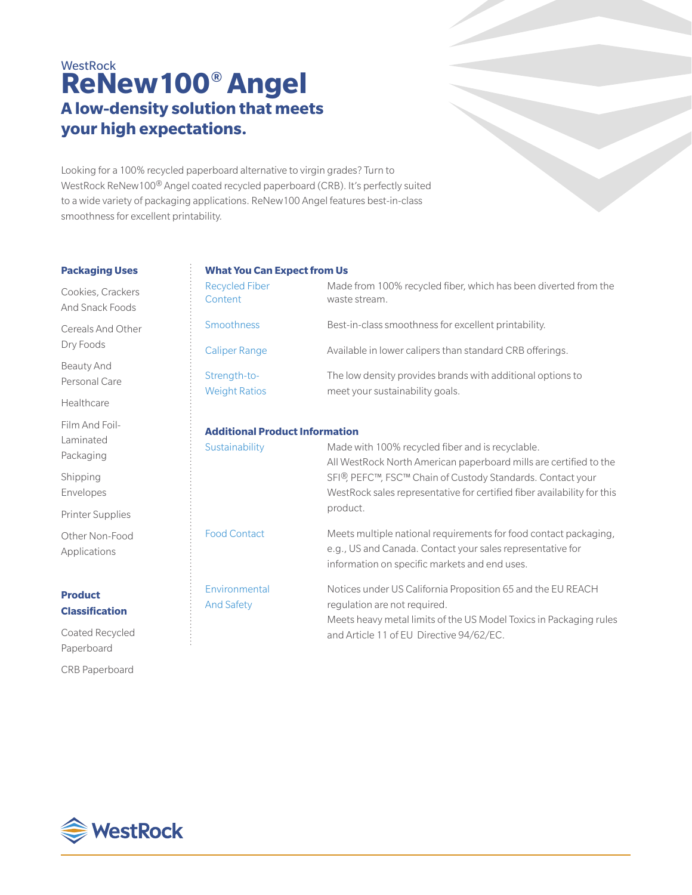# **WestRock ReNew100® Angel A low-density solution that meets your high expectations.**

Looking for a 100% recycled paperboard alternative to virgin grades? Turn to WestRock ReNew100® Angel coated recycled paperboard (CRB). It's perfectly suited to a wide variety of packaging applications. ReNew100 Angel features best-in-class smoothness for excellent printability.

#### **Packaging Uses**

Cookies, Crackers And Snack Foods

Cereals And Other Dry Foods

Beauty And Personal Care

Healthcare

Film And Foil-Laminated Packaging

Shipping Envelopes

Printer Supplies

Other Non-Food Applications

## **Product Classification**

Coated Recycled Paperboard

CRB Paperboard

### **What You Can Expect from Us**

| <b>Recycled Fiber</b><br>Content      | Made from 100% recycled fiber, which has been diverted from the<br>waste stream.                                                                                                                                                                                           |  |  |  |  |  |
|---------------------------------------|----------------------------------------------------------------------------------------------------------------------------------------------------------------------------------------------------------------------------------------------------------------------------|--|--|--|--|--|
| Smoothness                            | Best-in-class smoothness for excellent printability.                                                                                                                                                                                                                       |  |  |  |  |  |
| <b>Caliper Range</b>                  | Available in lower calipers than standard CRB offerings.                                                                                                                                                                                                                   |  |  |  |  |  |
| Strength-to-<br><b>Weight Ratios</b>  | The low density provides brands with additional options to<br>meet your sustainability goals.                                                                                                                                                                              |  |  |  |  |  |
| <b>Additional Product Information</b> |                                                                                                                                                                                                                                                                            |  |  |  |  |  |
| Sustainability                        | Made with 100% recycled fiber and is recyclable.<br>All WestRock North American paperboard mills are certified to the<br>SFI®, PEFC™, FSC™ Chain of Custody Standards. Contact your<br>WestRock sales representative for certified fiber availability for this<br>product. |  |  |  |  |  |
| <b>Food Contact</b>                   | Meets multiple national requirements for food contact packaging,<br>e.g., US and Canada. Contact your sales representative for<br>information on specific markets and end uses.                                                                                            |  |  |  |  |  |
| Environmental<br><b>And Safety</b>    | Notices under US California Proposition 65 and the EU REACH<br>requlation are not required.<br>Meets heavy metal limits of the US Model Toxics in Packaging rules<br>and Article 11 of EU Directive 94/62/EC.                                                              |  |  |  |  |  |